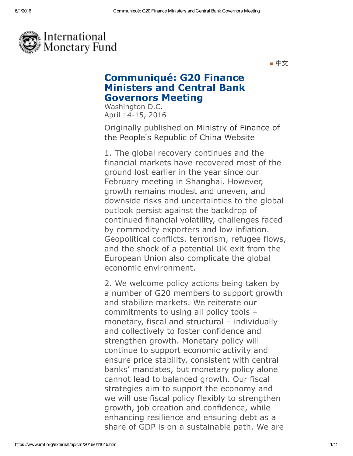

■ [中文](http://www.mof.gov.cn/zhengwuxinxi/caizhengxinwen/201604/t20160416_1952825.html)

## Communiqué: G20 Finance Ministers and Central Bank Governors Meeting

Washington D.C. April 14-15, 2016

Originally [published](http://wjb.mof.gov.cn/pindaoliebiao/gongzuodongtai/201604/t20160416_1952794.html) on Ministry of Finance of the People's Republic of China Website

1. The global recovery continues and the financial markets have recovered most of the ground lost earlier in the year since our February meeting in Shanghai. However, growth remains modest and uneven, and downside risks and uncertainties to the global outlook persist against the backdrop of continued financial volatility, challenges faced by commodity exporters and low inflation. Geopolitical conflicts, terrorism, refugee flows, and the shock of a potential UK exit from the European Union also complicate the global economic environment.

2. We welcome policy actions being taken by a number of G20 members to support growth and stabilize markets. We reiterate our commitments to using all policy tools – monetary, fiscal and structural – individually and collectively to foster confidence and strengthen growth. Monetary policy will continue to support economic activity and ensure price stability, consistent with central banks' mandates, but monetary policy alone cannot lead to balanced growth. Our fiscal strategies aim to support the economy and we will use fiscal policy flexibly to strengthen growth, job creation and confidence, while enhancing resilience and ensuring debt as a share of GDP is on a sustainable path. We are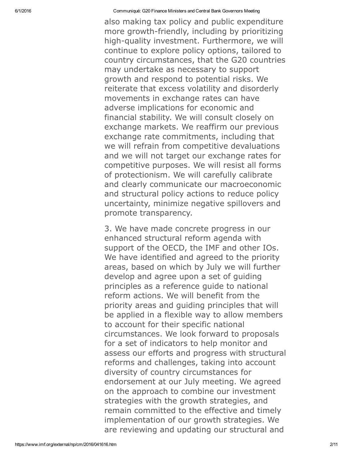also making tax policy and public expenditure more growth-friendly, including by prioritizing high-quality investment. Furthermore, we will continue to explore policy options, tailored to country circumstances, that the G20 countries may undertake as necessary to support growth and respond to potential risks. We reiterate that excess volatility and disorderly movements in exchange rates can have adverse implications for economic and financial stability. We will consult closely on exchange markets. We reaffirm our previous exchange rate commitments, including that we will refrain from competitive devaluations and we will not target our exchange rates for competitive purposes. We will resist all forms of protectionism. We will carefully calibrate and clearly communicate our macroeconomic and structural policy actions to reduce policy uncertainty, minimize negative spillovers and promote transparency.

3. We have made concrete progress in our enhanced structural reform agenda with support of the OECD, the IMF and other IOs. We have identified and agreed to the priority areas, based on which by July we will further develop and agree upon a set of guiding principles as a reference guide to national reform actions. We will benefit from the priority areas and guiding principles that will be applied in a flexible way to allow members to account for their specific national circumstances. We look forward to proposals for a set of indicators to help monitor and assess our efforts and progress with structural reforms and challenges, taking into account diversity of country circumstances for endorsement at our July meeting. We agreed on the approach to combine our investment strategies with the growth strategies, and remain committed to the effective and timely implementation of our growth strategies. We are reviewing and updating our structural and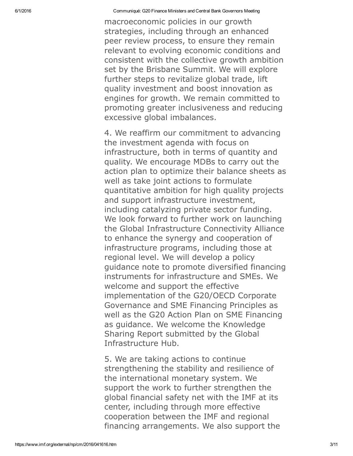macroeconomic policies in our growth strategies, including through an enhanced peer review process, to ensure they remain relevant to evolving economic conditions and consistent with the collective growth ambition set by the Brisbane Summit. We will explore further steps to revitalize global trade, lift quality investment and boost innovation as engines for growth. We remain committed to promoting greater inclusiveness and reducing excessive global imbalances.

4. We reaffirm our commitment to advancing the investment agenda with focus on infrastructure, both in terms of quantity and quality. We encourage MDBs to carry out the action plan to optimize their balance sheets as well as take joint actions to formulate quantitative ambition for high quality projects and support infrastructure investment, including catalyzing private sector funding. We look forward to further work on launching the Global Infrastructure Connectivity Alliance to enhance the synergy and cooperation of infrastructure programs, including those at regional level. We will develop a policy guidance note to promote diversified financing instruments for infrastructure and SMEs. We welcome and support the effective implementation of the G20/OECD Corporate Governance and SME Financing Principles as well as the G20 Action Plan on SME Financing as guidance. We welcome the Knowledge Sharing Report submitted by the Global Infrastructure Hub.

5. We are taking actions to continue strengthening the stability and resilience of the international monetary system. We support the work to further strengthen the global financial safety net with the IMF at its center, including through more effective cooperation between the IMF and regional financing arrangements. We also support the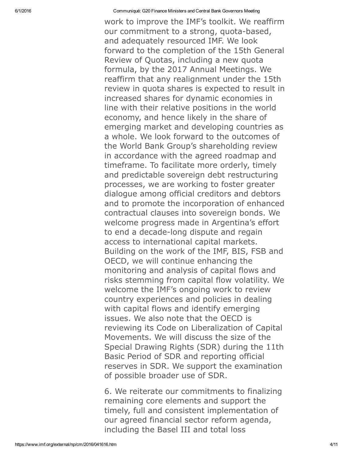work to improve the IMF's toolkit. We reaffirm our commitment to a strong, quota-based, and adequately resourced IMF. We look forward to the completion of the 15th General Review of Quotas, including a new quota formula, by the 2017 Annual Meetings. We reaffirm that any realignment under the 15th review in quota shares is expected to result in increased shares for dynamic economies in line with their relative positions in the world economy, and hence likely in the share of emerging market and developing countries as a whole. We look forward to the outcomes of the World Bank Group's shareholding review in accordance with the agreed roadmap and timeframe. To facilitate more orderly, timely and predictable sovereign debt restructuring processes, we are working to foster greater dialogue among official creditors and debtors and to promote the incorporation of enhanced contractual clauses into sovereign bonds. We welcome progress made in Argentina's effort to end a decade-long dispute and regain access to international capital markets. Building on the work of the IMF, BIS, FSB and OECD, we will continue enhancing the monitoring and analysis of capital flows and risks stemming from capital flow volatility. We welcome the IMF's ongoing work to review country experiences and policies in dealing with capital flows and identify emerging issues. We also note that the OECD is reviewing its Code on Liberalization of Capital Movements. We will discuss the size of the Special Drawing Rights (SDR) during the 11th Basic Period of SDR and reporting official reserves in SDR. We support the examination of possible broader use of SDR.

6. We reiterate our commitments to finalizing remaining core elements and support the timely, full and consistent implementation of our agreed financial sector reform agenda, including the Basel III and total loss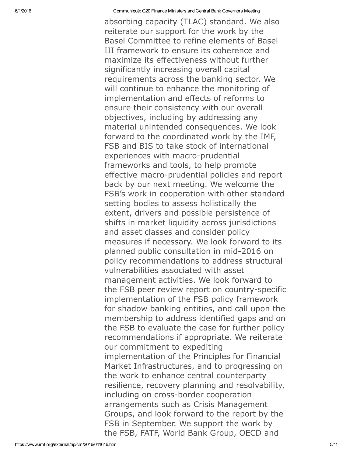absorbing capacity (TLAC) standard. We also reiterate our support for the work by the Basel Committee to refine elements of Basel III framework to ensure its coherence and maximize its effectiveness without further significantly increasing overall capital requirements across the banking sector. We will continue to enhance the monitoring of implementation and effects of reforms to ensure their consistency with our overall objectives, including by addressing any material unintended consequences. We look forward to the coordinated work by the IMF, FSB and BIS to take stock of international experiences with macro-prudential frameworks and tools, to help promote effective macro-prudential policies and report back by our next meeting. We welcome the FSB's work in cooperation with other standard setting bodies to assess holistically the extent, drivers and possible persistence of shifts in market liquidity across jurisdictions and asset classes and consider policy measures if necessary. We look forward to its planned public consultation in mid2016 on policy recommendations to address structural vulnerabilities associated with asset management activities. We look forward to the FSB peer review report on country-specific implementation of the FSB policy framework for shadow banking entities, and call upon the membership to address identified gaps and on the FSB to evaluate the case for further policy recommendations if appropriate. We reiterate our commitment to expediting implementation of the Principles for Financial Market Infrastructures, and to progressing on the work to enhance central counterparty resilience, recovery planning and resolvability, including on cross-border cooperation arrangements such as Crisis Management Groups, and look forward to the report by the FSB in September. We support the work by the FSB, FATF, World Bank Group, OECD and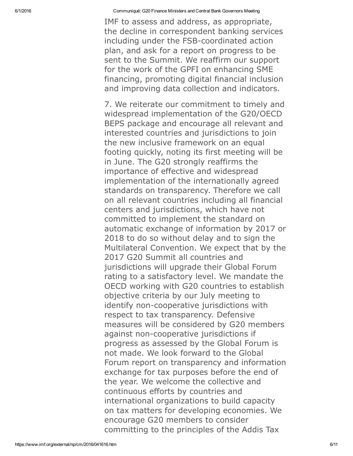IMF to assess and address, as appropriate, the decline in correspondent banking services including under the FSB-coordinated action plan, and ask for a report on progress to be sent to the Summit. We reaffirm our support for the work of the GPFI on enhancing SME financing, promoting digital financial inclusion and improving data collection and indicators.

7. We reiterate our commitment to timely and widespread implementation of the G20/OECD BEPS package and encourage all relevant and interested countries and jurisdictions to join the new inclusive framework on an equal footing quickly, noting its first meeting will be in June. The G20 strongly reaffirms the importance of effective and widespread implementation of the internationally agreed standards on transparency. Therefore we call on all relevant countries including all financial centers and jurisdictions, which have not committed to implement the standard on automatic exchange of information by 2017 or 2018 to do so without delay and to sign the Multilateral Convention. We expect that by the 2017 G20 Summit all countries and jurisdictions will upgrade their Global Forum rating to a satisfactory level. We mandate the OECD working with G20 countries to establish objective criteria by our July meeting to identify non-cooperative jurisdictions with respect to tax transparency. Defensive measures will be considered by G20 members against non-cooperative jurisdictions if progress as assessed by the Global Forum is not made. We look forward to the Global Forum report on transparency and information exchange for tax purposes before the end of the year. We welcome the collective and continuous efforts by countries and international organizations to build capacity on tax matters for developing economies. We encourage G20 members to consider committing to the principles of the Addis Tax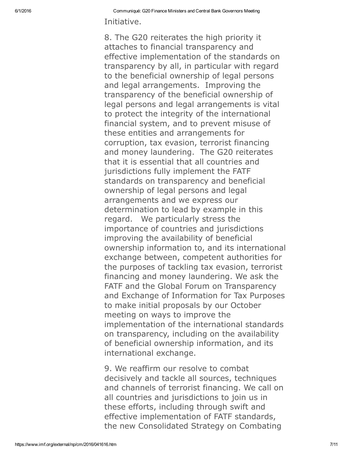Initiative.

8. The G20 reiterates the high priority it attaches to financial transparency and effective implementation of the standards on transparency by all, in particular with regard to the beneficial ownership of legal persons and legal arrangements. Improving the transparency of the beneficial ownership of legal persons and legal arrangements is vital to protect the integrity of the international financial system, and to prevent misuse of these entities and arrangements for corruption, tax evasion, terrorist financing and money laundering. The G20 reiterates that it is essential that all countries and jurisdictions fully implement the FATF standards on transparency and beneficial ownership of legal persons and legal arrangements and we express our determination to lead by example in this regard. We particularly stress the importance of countries and jurisdictions improving the availability of beneficial ownership information to, and its international exchange between, competent authorities for the purposes of tackling tax evasion, terrorist financing and money laundering. We ask the FATF and the Global Forum on Transparency and Exchange of Information for Tax Purposes to make initial proposals by our October meeting on ways to improve the implementation of the international standards on transparency, including on the availability of beneficial ownership information, and its international exchange.

9. We reaffirm our resolve to combat decisively and tackle all sources, techniques and channels of terrorist financing. We call on all countries and jurisdictions to join us in these efforts, including through swift and effective implementation of FATF standards, the new Consolidated Strategy on Combating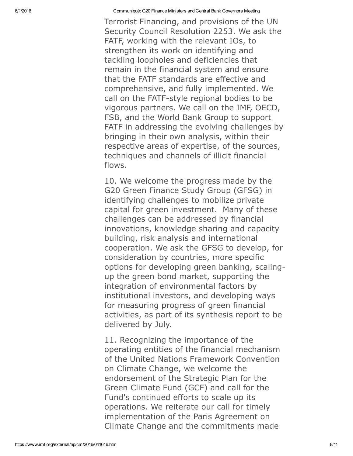Terrorist Financing, and provisions of the UN Security Council Resolution 2253. We ask the FATF, working with the relevant IOs, to strengthen its work on identifying and tackling loopholes and deficiencies that remain in the financial system and ensure that the FATF standards are effective and comprehensive, and fully implemented. We call on the FATF-style regional bodies to be vigorous partners. We call on the IMF, OECD, FSB, and the World Bank Group to support FATF in addressing the evolving challenges by bringing in their own analysis, within their respective areas of expertise, of the sources, techniques and channels of illicit financial flows.

10. We welcome the progress made by the G20 Green Finance Study Group (GFSG) in identifying challenges to mobilize private capital for green investment. Many of these challenges can be addressed by financial innovations, knowledge sharing and capacity building, risk analysis and international cooperation. We ask the GFSG to develop, for consideration by countries, more specific options for developing green banking, scalingup the green bond market, supporting the integration of environmental factors by institutional investors, and developing ways for measuring progress of green financial activities, as part of its synthesis report to be delivered by July.

11. Recognizing the importance of the operating entities of the financial mechanism of the United Nations Framework Convention on Climate Change, we welcome the endorsement of the Strategic Plan for the Green Climate Fund (GCF) and call for the Fund's continued efforts to scale up its operations. We reiterate our call for timely implementation of the Paris Agreement on Climate Change and the commitments made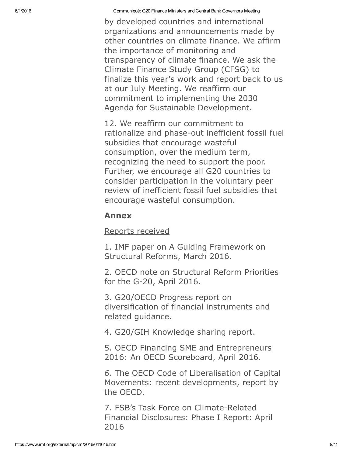by developed countries and international organizations and announcements made by other countries on climate finance. We affirm the importance of monitoring and transparency of climate finance. We ask the Climate Finance Study Group (CFSG) to finalize this year's work and report back to us at our July Meeting. We reaffirm our commitment to implementing the 2030 Agenda for Sustainable Development.

12. We reaffirm our commitment to rationalize and phase-out inefficient fossil fuel subsidies that encourage wasteful consumption, over the medium term, recognizing the need to support the poor. Further, we encourage all G20 countries to consider participation in the voluntary peer review of inefficient fossil fuel subsidies that encourage wasteful consumption.

## Annex

Reports received

1. IMF paper on A Guiding Framework on Structural Reforms, March 2016.

2. OECD note on Structural Reform Priorities for the G-20, April 2016.

3. G20/OECD Progress report on diversification of financial instruments and related guidance.

4. G20/GIH Knowledge sharing report.

5. OECD Financing SME and Entrepreneurs 2016: An OECD Scoreboard, April 2016.

*6.* The OECD Code of Liberalisation of Capital Movements: recent developments, report by the OECD.

7. FSB's Task Force on Climate-Related Financial Disclosures: Phase I Report: April 2016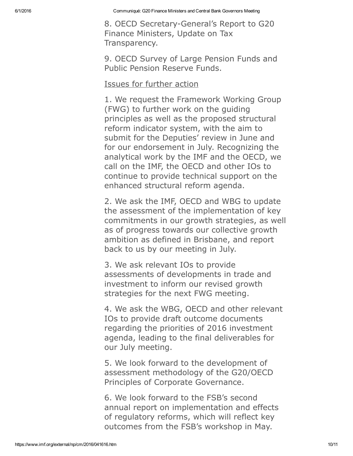8. OECD Secretary-General's Report to G20 Finance Ministers, Update on Tax Transparency.

9. OECD Survey of Large Pension Funds and Public Pension Reserve Funds.

## Issues for further action

1. We request the Framework Working Group (FWG) to further work on the guiding principles as well as the proposed structural reform indicator system, with the aim to submit for the Deputies' review in June and for our endorsement in July. Recognizing the analytical work by the IMF and the OECD, we call on the IMF, the OECD and other IOs to continue to provide technical support on the enhanced structural reform agenda.

2. We ask the IMF, OECD and WBG to update the assessment of the implementation of key commitments in our growth strategies, as well as of progress towards our collective growth ambition as defined in Brisbane, and report back to us by our meeting in July.

3. We ask relevant IOs to provide assessments of developments in trade and investment to inform our revised growth strategies for the next FWG meeting.

4. We ask the WBG, OECD and other relevant IOs to provide draft outcome documents regarding the priorities of 2016 investment agenda, leading to the final deliverables for our July meeting.

5. We look forward to the development of assessment methodology of the G20/OECD Principles of Corporate Governance.

6. We look forward to the FSB's second annual report on implementation and effects of regulatory reforms, which will reflect key outcomes from the FSB's workshop in May.